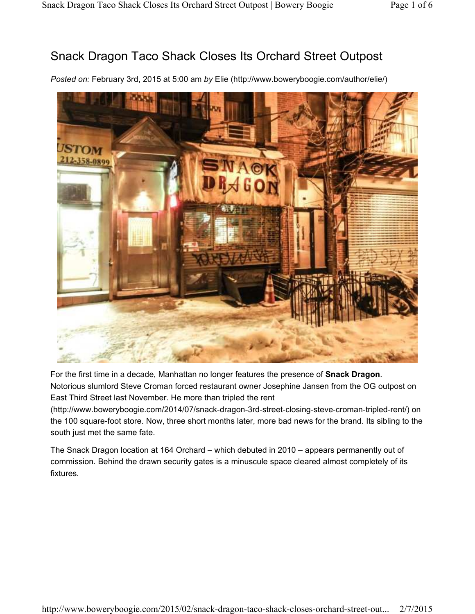# Snack Dragon Taco Shack Closes Its Orchard Street Outpost

*Posted on:* February 3rd, 2015 at 5:00 am *by* Elie (http://www.boweryboogie.com/author/elie/)



For the first time in a decade, Manhattan no longer features the presence of **Snack Dragon**. Notorious slumlord Steve Croman forced restaurant owner Josephine Jansen from the OG outpost on East Third Street last November. He more than tripled the rent

(http://www.boweryboogie.com/2014/07/snack-dragon-3rd-street-closing-steve-croman-tripled-rent/) on the 100 square-foot store. Now, three short months later, more bad news for the brand. Its sibling to the south just met the same fate.

The Snack Dragon location at 164 Orchard – which debuted in 2010 – appears permanently out of commission. Behind the drawn security gates is a minuscule space cleared almost completely of its fixtures.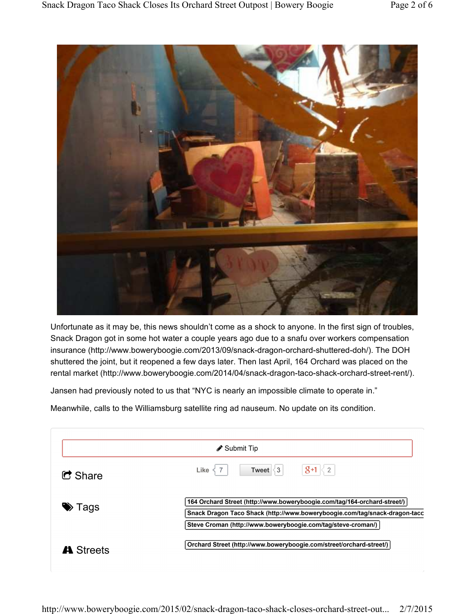

Unfortunate as it may be, this news shouldn't come as a shock to anyone. In the first sign of troubles, Snack Dragon got in some hot water a couple years ago due to a snafu over workers compensation insurance (http://www.boweryboogie.com/2013/09/snack-dragon-orchard-shuttered-doh/). The DOH shuttered the joint, but it reopened a few days later. Then last April, 164 Orchard was placed on the rental market (http://www.boweryboogie.com/2014/04/snack-dragon-taco-shack-orchard-street-rent/).

Jansen had previously noted to us that "NYC is nearly an impossible climate to operate in."

Meanwhile, calls to the Williamsburg satellite ring ad nauseum. No update on its condition.

| ight Submit Tip      |                                                                                                                                                                                                                        |  |
|----------------------|------------------------------------------------------------------------------------------------------------------------------------------------------------------------------------------------------------------------|--|
| $\blacksquare$ Share | $8+1 \leq 2$<br>Tweet $\leq$ 3<br>Like                                                                                                                                                                                 |  |
| <b>≫</b> Tags        | 164 Orchard Street (http://www.boweryboogie.com/tag/164-orchard-street/)<br>Snack Dragon Taco Shack (http://www.boweryboogie.com/tag/snack-dragon-tacc<br>Steve Croman (http://www.boweryboogie.com/tag/steve-croman/) |  |
| A Streets            | Orchard Street (http://www.boweryboogie.com/street/orchard-street/)                                                                                                                                                    |  |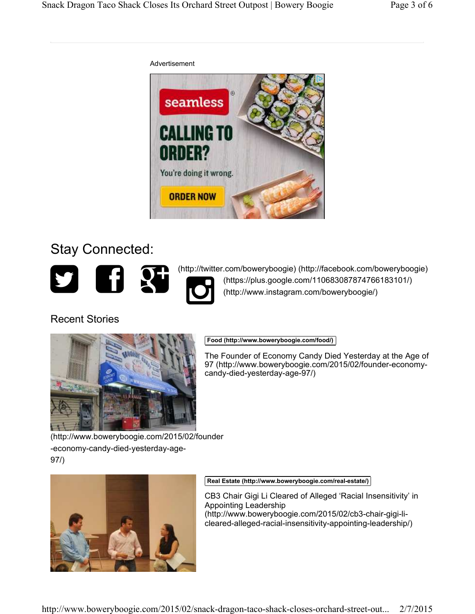

# Stay Connected:



(http://twitter.com/boweryboogie) (http://facebook.com/boweryboogie)<br>
(https://plus.google.com/110683087874766183101/)<br>
(http://www.instagram.com/boweryboogie/)

## Recent Stories



## **Food (http://www.boweryboogie.com/food/)**

The Founder of Economy Candy Died Yesterday at the Age of 97 (http://www.boweryboogie.com/2015/02/founder-economycandy-died-yesterday-age-97/)

(http://www.boweryboogie.com/2015/02/founder -economy-candy-died-yesterday-age-97/)



**Real Estate (http://www.boweryboogie.com/real-estate/)**

CB3 Chair Gigi Li Cleared of Alleged 'Racial Insensitivity' in Appointing Leadership (http://www.boweryboogie.com/2015/02/cb3-chair-gigi-licleared-alleged-racial-insensitivity-appointing-leadership/)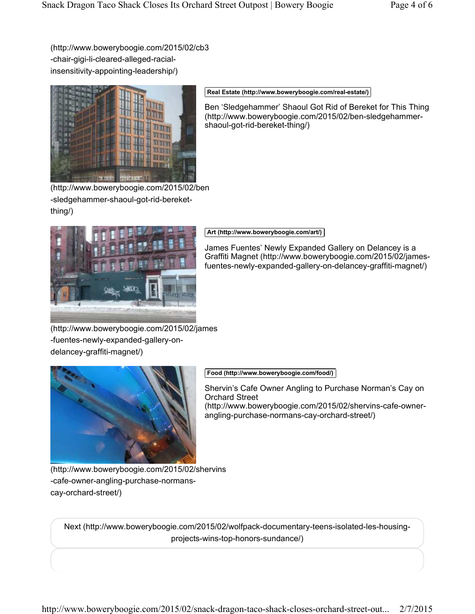(http://www.boweryboogie.com/2015/02/cb3 -chair-gigi-li-cleared-alleged-racialinsensitivity-appointing-leadership/)



#### **Real Estate (http://www.boweryboogie.com/real-estate/)**

Ben 'Sledgehammer' Shaoul Got Rid of Bereket for This Thing (http://www.boweryboogie.com/2015/02/ben-sledgehammershaoul-got-rid-bereket-thing/)

(http://www.boweryboogie.com/2015/02/ben -sledgehammer-shaoul-got-rid-bereketthing/)



#### **Art (http://www.boweryboogie.com/art/)**

James Fuentes' Newly Expanded Gallery on Delancey is a Graffiti Magnet (http://www.boweryboogie.com/2015/02/jamesfuentes-newly-expanded-gallery-on-delancey-graffiti-magnet/)

(http://www.boweryboogie.com/2015/02/james -fuentes-newly-expanded-gallery-ondelancey-graffiti-magnet/)



**Food (http://www.boweryboogie.com/food/)**

Shervin's Cafe Owner Angling to Purchase Norman's Cay on Orchard Street (http://www.boweryboogie.com/2015/02/shervins-cafe-ownerangling-purchase-normans-cay-orchard-street/)

(http://www.boweryboogie.com/2015/02/shervins -cafe-owner-angling-purchase-normanscay-orchard-street/)

Next (http://www.boweryboogie.com/2015/02/wolfpack-documentary-teens-isolated-les-housingprojects-wins-top-honors-sundance/)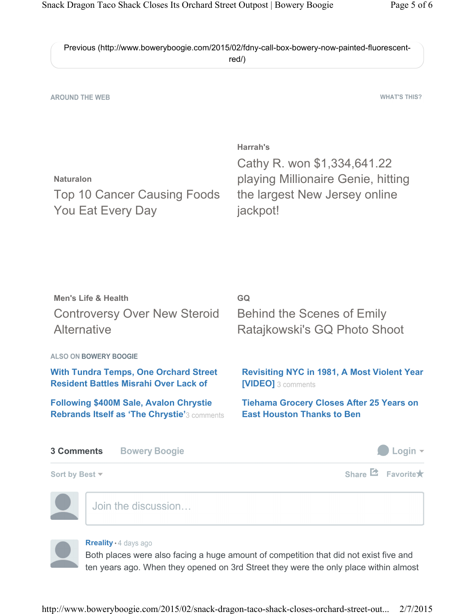|             | Previous (http://www.boweryboogie.com/2015/02/fdny-call-box-bowery-now-painted-fluorescent- |
|-------------|---------------------------------------------------------------------------------------------|
| red $\land$ |                                                                                             |

**AROUND THE WEB** 

**WHAT'S THIS?** 

| Harrah's                           |
|------------------------------------|
| Cathy R. won \$1,334,641.22        |
| playing Millionaire Genie, hitting |
| the largest New Jersey online      |
| jackpot!                           |
|                                    |

| Men's Life & Health<br><b>Controversy Over New Steroid</b><br>Alternative                    | GQ<br><b>Behind the Scenes of Emily</b><br>Ratajkowski's GQ Photo Shoot                                                                                          |  |
|----------------------------------------------------------------------------------------------|------------------------------------------------------------------------------------------------------------------------------------------------------------------|--|
| <b>ALSO ON BOWERY BOOGIE</b>                                                                 |                                                                                                                                                                  |  |
| <b>With Tundra Temps, One Orchard Street</b><br><b>Resident Battles Misrahi Over Lack of</b> | <b>Revisiting NYC in 1981, A Most Violent Year</b><br>[VIDEO] 3 comments<br><b>Tiehama Grocery Closes After 25 Years on</b><br><b>East Houston Thanks to Ben</b> |  |
| <b>Following \$400M Sale, Avalon Chrystie</b><br>Rebrands Itself as 'The Chrystie'3 comments |                                                                                                                                                                  |  |
| <b>3 Comments</b><br><b>Bowery Boogie</b>                                                    | Login $\sim$                                                                                                                                                     |  |
| Sort by Best $\sim$                                                                          | Share $\Xi$ Favorite $\star$                                                                                                                                     |  |
| Join the discussion                                                                          |                                                                                                                                                                  |  |

### **Rreality**  $\cdot$  4 days ago

Both places were also facing a huge amount of competition that did not exist five and ten years ago. When they opened on 3rd Street they were the only place within almost